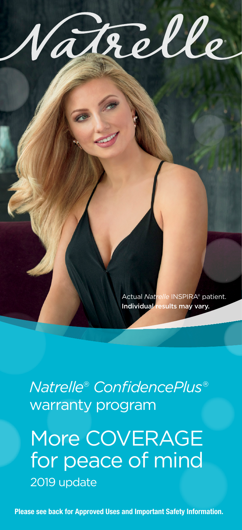

Actual *Natrelle* INSPIRA® patient. Individual results may vary.

*Natrelle*® *ConfidencePlus*® warranty program

More COVERAGE for peace of mind 2019 update

Please see back for Approved Uses and Important Safety Information.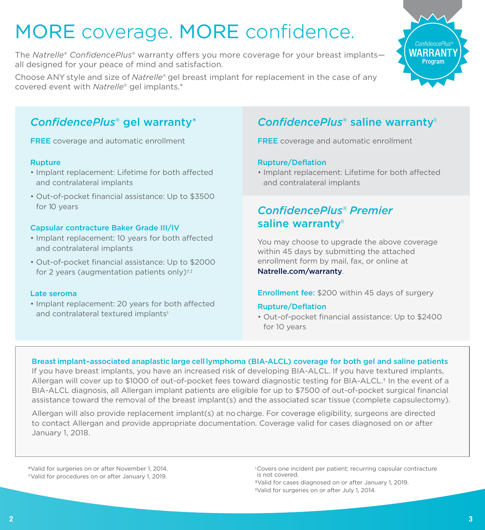# MORE coverage. MORE confidence.

The *Natrelle*® *ConfidencePlus*® warranty offers you more coverage for your breast implants all designed for your peace of mind and satisfaction.

Choose ANY style and size of *Natrelle*® gel breast implant for replacement in the case of any covered event with *Natrelle*® gel implants.\*



# *ConfidencePlus*® gel warranty\*

**FREE** coverage and automatic enrollment

### Rupture

- Implant replacement: Lifetime for both affected and contralateral implants
- Out-of-pocket financial assistance: Up to \$3500 for 10 years

### Capsular contracture Baker Grade III/IV

- Implant replacement: 10 years for both affected and contralateral implants
- Out-of-pocket financial assistance: Up to \$2000 for 2 years (augmentation patients only)<sup> $\dagger$ , $\dagger$ </sup>

#### Late seroma

• Implant replacement: 20 years for both affected and contralateral textured implants<sup>§</sup>

# ConfidencePlus<sup>®</sup> saline warranty<sup>"</sup>

**FREE** coverage and automatic enrollment

## Rupture/Deflation

• Implant replacement: Lifetime for both affected and contralateral implants

# *ConfidencePlus*® *Premier*  saline warranty"

You may choose to upgrade the above coverage within 45 days by submitting the attached enrollment form by mail, fax, or online at Natrelle.com/warranty.

### Enrollment fee: \$200 within 45 days of surgery

### Rupture/Deflation

• Out-of-pocket financial assistance: Up to \$2400 for 10 years

## Breast implant–associated anaplastic large cell lymphoma (BIA-ALCL) coverage for both gel and saline patients

If you have breast implants, you have an increased risk of developing BIA-ALCL. If you have textured implants, Allergan will cover up to \$1000 of out-of-pocket fees toward diagnostic testing for BIA-ALCL.† In the event of a BIA-ALCL diagnosis, all Allergan implant patients are eligible for up to \$7500 of out-of-pocket surgical financial assistance toward the removal of the breast implant(s) and the associated scar tissue (complete capsulectomy).

Allergan will also provide replacement implant(s) at no charge. For coverage eligibility, surgeons are directed to contact Allergan and provide appropriate documentation. Coverage valid for cases diagnosed on or after January 1, 2018.

\*Valid for surgeries on or after November 1, 2014.  †Valid for procedures on or after January 1, 2019.

<sup>‡</sup>Covers one incident per patient; recurring capsular contracture is not covered.

<sup>§</sup>Valid for cases diagnosed on or after January 1, 2019.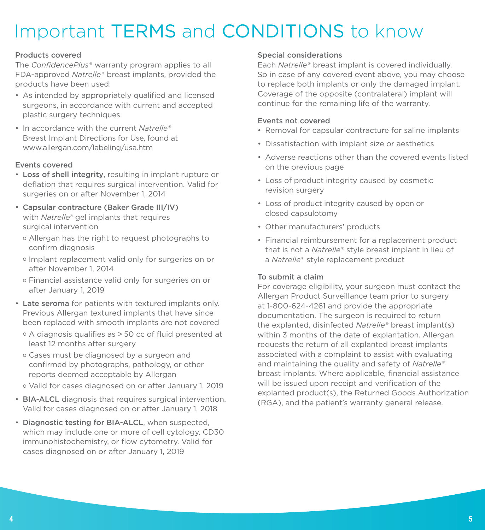# Important TERMS and CONDITIONS to know

## Products covered

The *ConfidencePlus*® warranty program applies to all FDA-approved *Natrelle*® breast implants, provided the products have been used:

- As intended by appropriately qualified and licensed surgeons, in accordance with current and accepted plastic surgery techniques
- In accordance with the current *Natrelle*® Breast Implant Directions for Use, found at www.allergan.com/labeling/usa.htm

## Events covered

- Loss of shell integrity, resulting in implant rupture or deflation that requires surgical intervention. Valid for surgeries on or after November 1, 2014
- Capsular contracture (Baker Grade III/IV) with *Natrelle*® gel implants that requires surgical intervention
	- o Allergan has the right to request photographs to confirm diagnosis
	- o Implant replacement valid only for surgeries on or after November 1, 2014
	- o Financial assistance valid only for surgeries on or after January 1, 2019
- Late seroma for patients with textured implants only. Previous Allergan textured implants that have since been replaced with smooth implants are not covered
	- o A diagnosis qualifies as > 50 cc of fluid presented at least 12 months after surgery
	- o Cases must be diagnosed by a surgeon and confirmed by photographs, pathology, or other reports deemed acceptable by Allergan
	- o Valid for cases diagnosed on or after January 1, 2019
- BIA-ALCL diagnosis that requires surgical intervention. Valid for cases diagnosed on or after January 1, 2018
- Diagnostic testing for BIA-ALCL, when suspected, which may include one or more of cell cytology, CD30 immunohistochemistry, or flow cytometry. Valid for cases diagnosed on or after January 1, 2019

## Special considerations

Each *Natrelle*® breast implant is covered individually. So in case of any covered event above, you may choose to replace both implants or only the damaged implant. Coverage of the opposite (contralateral) implant will continue for the remaining life of the warranty.

### Events not covered

- Removal for capsular contracture for saline implants
- Dissatisfaction with implant size or aesthetics
- Adverse reactions other than the covered events listed on the previous page
- Loss of product integrity caused by cosmetic revision surgery
- Loss of product integrity caused by open or closed capsulotomy
- Other manufacturers' products
- Financial reimbursement for a replacement product that is not a *Natrelle*® style breast implant in lieu of a *Natrelle*® style replacement product

### To submit a claim

For coverage eligibility, your surgeon must contact the Allergan Product Surveillance team prior to surgery at 1-800-624-4261 and provide the appropriate documentation. The surgeon is required to return the explanted, disinfected *Natrelle*® breast implant(s) within 3 months of the date of explantation. Allergan requests the return of all explanted breast implants associated with a complaint to assist with evaluating and maintaining the quality and safety of *Natrelle*® breast implants. Where applicable, financial assistance will be issued upon receipt and verification of the explanted product(s), the Returned Goods Authorization (RGA), and the patient's warranty general release.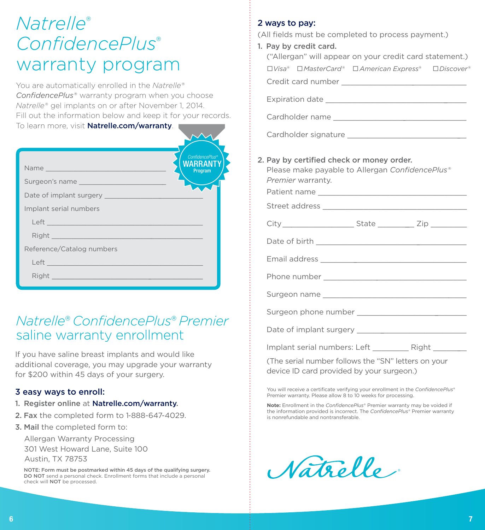# *Natrelle*® *ConfidencePlus*® warranty program

You are automatically enrolled in the *Natrelle® ConfidencePlus*® warranty program when you choose *Natrelle*® gel implants on or after November 1, 2014. Fill out the information below and keep it for your records. To learn more, visit Natrelle.com/warranty.

| Name<br>Surgeon's name<br>Implant serial numbers                                                                                                                                                                                                                                                                                                                                     | <b>ConfidencePlus®</b><br>WARRANT<br>Program |
|--------------------------------------------------------------------------------------------------------------------------------------------------------------------------------------------------------------------------------------------------------------------------------------------------------------------------------------------------------------------------------------|----------------------------------------------|
| Reference/Catalog numbers<br>Left <u>and the community of the community of the community of the community of the community of the community of the community of the community of the community of the community of the community of the community of the comm</u><br>Right Property of the Commission of the Commission of the Commission of the Commission of the Commission of the |                                              |

# *Natrelle*® *ConfidencePlus*® *Premier* saline warranty enrollment

If you have saline breast implants and would like additional coverage, you may upgrade your warranty for \$200 within 45 days of your surgery.

## 3 easy ways to enroll:

- 1. Register online at Natrelle.com/warranty.
- 2. Fax the completed form to 1-888-647-4029.
- 3. Mail the completed form to:

 Allergan Warranty Processing 301 West Howard Lane, Suite 100 Austin, TX 78753

 NOTE: Form must be postmarked within 45 days of the qualifying surgery. DO NOT send a personal check. Enrollment forms that include a personal check will NOT be processed.

# 2 ways to pay:

(All fields must be completed to process payment.)

1. Pay by credit card.

| ("Allergan" will appear on your credit card statement.)                                                           |  |  |  |  |
|-------------------------------------------------------------------------------------------------------------------|--|--|--|--|
| □Visa <sup>®</sup> □MasterCard® □American Express® □Discover®                                                     |  |  |  |  |
|                                                                                                                   |  |  |  |  |
|                                                                                                                   |  |  |  |  |
|                                                                                                                   |  |  |  |  |
|                                                                                                                   |  |  |  |  |
| 2. Pay by certified check or money order.<br>Please make payable to Allergan ConfidencePlus®<br>Premier warranty. |  |  |  |  |
| City _________________________State _____________ Zip ___________                                                 |  |  |  |  |
|                                                                                                                   |  |  |  |  |
|                                                                                                                   |  |  |  |  |
|                                                                                                                   |  |  |  |  |
|                                                                                                                   |  |  |  |  |
|                                                                                                                   |  |  |  |  |
|                                                                                                                   |  |  |  |  |
|                                                                                                                   |  |  |  |  |
| (The serial number follows the "SN" letters on your<br>device ID card provided by your surgeon.)                  |  |  |  |  |
|                                                                                                                   |  |  |  |  |

You will receive a certificate verifying your enrollment in the *ConfidencePlus*® Premier warranty. Please allow 8 to 10 weeks for processing.

**Note:** Enrollment in the *ConfidencePlus*® Premier warranty may be voided if the information provided is incorrect. The *ConfidencePlus*® Premier warranty is nonrefundable and nontransferable.